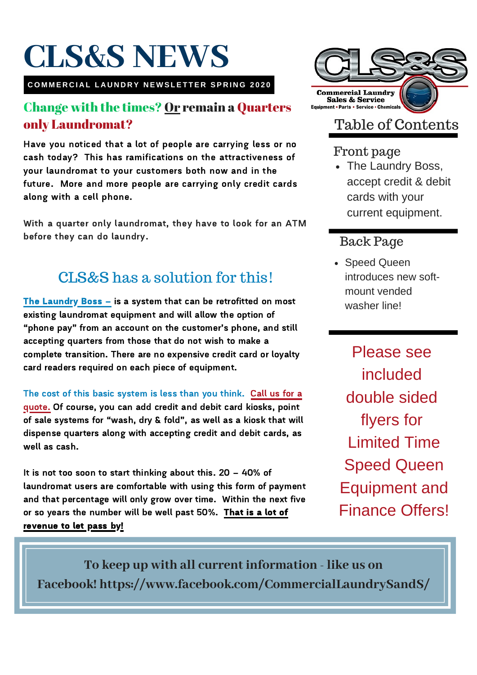# **CLS&S NEWS**

COMMERCIAL LAUNDRY NEWSLETTER SPRING 2020

#### Change with the times? Or remain a Quarters only Laundromat?

Have you noticed that a lot of people are carrying less or no cash today? This has ramifications on the attractiveness of your laundromat to your customers both now and in the future. More and more people are carrying only credit cards along with a cell phone.

With a quarter only laundromat, they have to look for an ATM before they can do laundry.

### CLS&S has a solution for this!

The Laundry Boss – is <sup>a</sup> system that can be retrofitted on most existing laundromat equipment and will allow the option of "phone pay" from an account on the customer's phone, and still accepting quarters from those that do not wish to make a complete transition. There are no expensive credit card or loyalty card readers required on each piece of equipment.

The cost of this basic system is less than you think. Call us for a quote. Of course, you can add credit and debit card kiosks, point of sale systems for "wash, dry & fold", as well as <sup>a</sup> kiosk that will dispense quarters along with accepting credit and debit cards, as well as cash.

It is not too soon to start thinking about this. <sup>20</sup> – 40% of laundromat users are comfortable with using this form of payment and that percentage will only grow over time. Within the next five or so years the number will be well past 50%. That is a lot of revenue to let pass by!



### Table of Contents

#### Front page

• The Laundry Boss, accept credit & debit cards with your current equipment.

#### Back Page

• Speed Queen introduces new softmount vended washer line!

Please see included double sided flyers for Limited Time Speed Queen Equipment and Finance Offers!

**To keep up with all current information - like us on Facebook! https://www.facebook.com/CommercialLaundrySandS/**